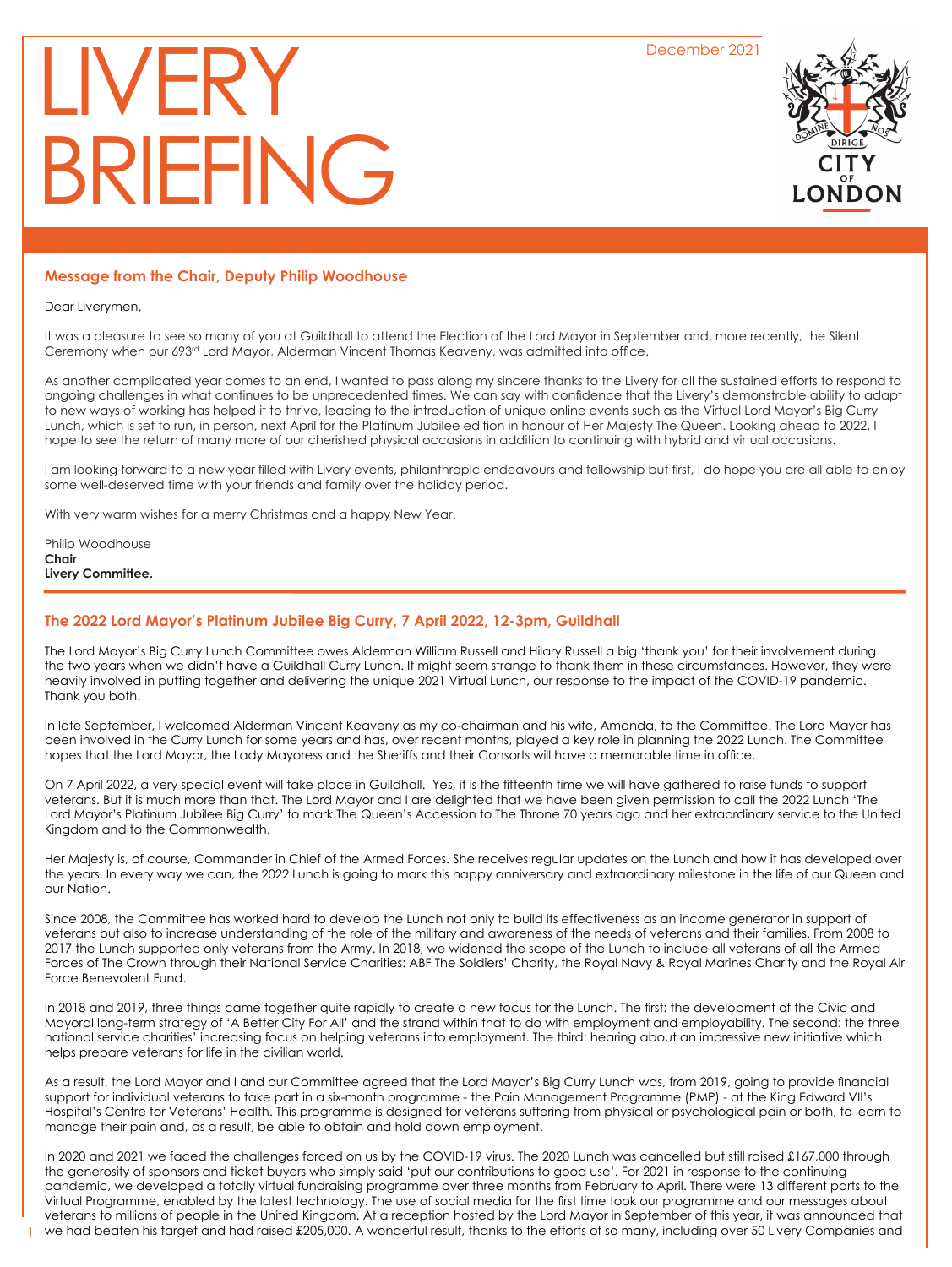December 2021

# LIVER' BRIEFING



# **Message from the Chair, Deputy Philip Woodhouse**

Dear Liverymen,

It was a pleasure to see so many of you at Guildhall to attend the Election of the Lord Mayor in September and, more recently, the Silent Ceremony when our 693rd Lord Mayor, Alderman Vincent Thomas Keaveny, was admitted into office.

As another complicated year comes to an end, I wanted to pass along my sincere thanks to the Livery for all the sustained efforts to respond to ongoing challenges in what continues to be unprecedented times. We can say with confidence that the Livery's demonstrable ability to adapt to new ways of working has helped it to thrive, leading to the introduction of unique online events such as the Virtual Lord Mayor's Big Curry Lunch, which is set to run, in person, next April for the Platinum Jubilee edition in honour of Her Majesty The Queen. Looking ahead to 2022, I hope to see the return of many more of our cherished physical occasions in addition to continuing with hybrid and virtual occasions.

I am looking forward to a new year filled with Livery events, philanthropic endeavours and fellowship but first, I do hope you are all able to enjoy some well-deserved time with your friends and family over the holiday period.

With very warm wishes for a merry Christmas and a happy New Year.

Philip Woodhouse **Chair Livery Committee.**

1

# **The 2022 Lord Mayor's Platinum Jubilee Big Curry, 7 April 2022, 12-3pm, Guildhall**

The Lord Mayor's Big Curry Lunch Committee owes Alderman William Russell and Hilary Russell a big 'thank you' for their involvement during the two years when we didn't have a Guildhall Curry Lunch. It might seem strange to thank them in these circumstances. However, they were heavily involved in putting together and delivering the unique 2021 Virtual Lunch, our response to the impact of the COVID-19 pandemic. Thank you both.

In late September, I welcomed Alderman Vincent Keaveny as my co-chairman and his wife, Amanda, to the Committee. The Lord Mayor has been involved in the Curry Lunch for some years and has, over recent months, played a key role in planning the 2022 Lunch. The Committee hopes that the Lord Mayor, the Lady Mayoress and the Sheriffs and their Consorts will have a memorable time in office.

On 7 April 2022, a very special event will take place in Guildhall. Yes, it is the fifteenth time we will have gathered to raise funds to support veterans. But it is much more than that. The Lord Mayor and I are delighted that we have been given permission to call the 2022 Lunch 'The Lord Mayor's Platinum Jubilee Big Curry' to mark The Queen's Accession to The Throne 70 years ago and her extraordinary service to the United Kingdom and to the Commonwealth.

Her Majesty is, of course, Commander in Chief of the Armed Forces. She receives regular updates on the Lunch and how it has developed over the years. In every way we can, the 2022 Lunch is going to mark this happy anniversary and extraordinary milestone in the life of our Queen and our Nation.

Since 2008, the Committee has worked hard to develop the Lunch not only to build its effectiveness as an income generator in support of veterans but also to increase understanding of the role of the military and awareness of the needs of veterans and their families. From 2008 to 2017 the Lunch supported only veterans from the Army. In 2018, we widened the scope of the Lunch to include all veterans of all the Armed Forces of The Crown through their National Service Charities: ABF The Soldiers' Charity, the Royal Navy & Royal Marines Charity and the Royal Air Force Benevolent Fund.

In 2018 and 2019, three things came together quite rapidly to create a new focus for the Lunch. The first: the development of the Civic and Mayoral long-term strategy of 'A Better City For All' and the strand within that to do with employment and employability. The second: the three national service charities' increasing focus on helping veterans into employment. The third: hearing about an impressive new initiative which helps prepare veterans for life in the civilian world.

As a result, the Lord Mayor and I and our Committee agreed that the Lord Mayor's Big Curry Lunch was, from 2019, going to provide financial support for individual veterans to take part in a six-month programme - the Pain Management Programme (PMP) - at the King Edward VII's Hospital's Centre for Veterans' Health. This programme is designed for veterans suffering from physical or psychological pain or both, to learn to manage their pain and, as a result, be able to obtain and hold down employment.

In 2020 and 2021 we faced the challenges forced on us by the COVID-19 virus. The 2020 Lunch was cancelled but still raised £167,000 through the generosity of sponsors and ticket buyers who simply said 'put our contributions to good use'. For 2021 in response to the continuing pandemic, we developed a totally virtual fundraising programme over three months from February to April. There were 13 different parts to the Virtual Programme, enabled by the latest technology. The use of social media for the first time took our programme and our messages about veterans to millions of people in the United Kingdom. At a reception hosted by the Lord Mayor in September of this year, it was announced that we had beaten his target and had raised £205,000. A wonderful result, thanks to the efforts of so many, including over 50 Livery Companies and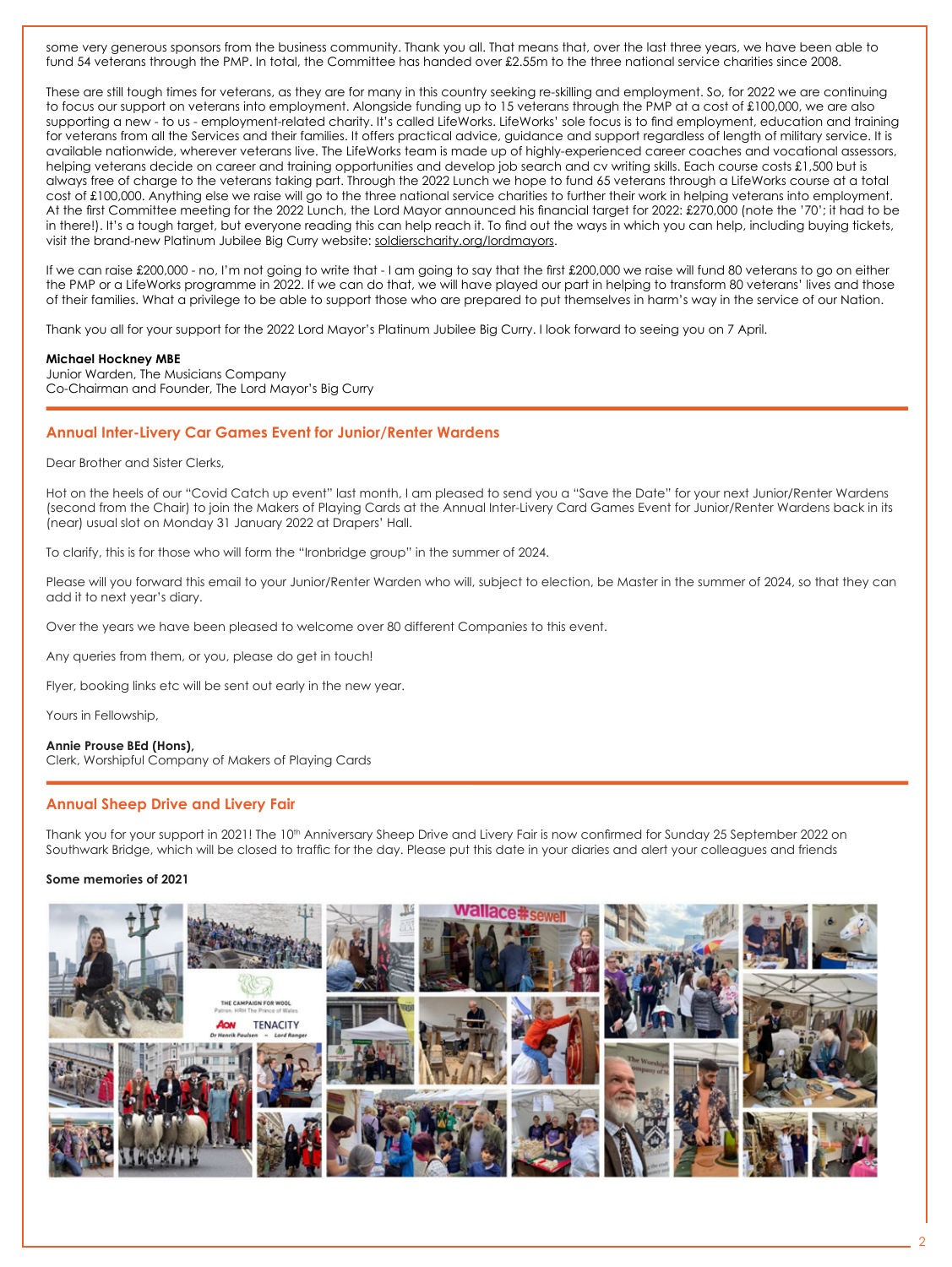some very generous sponsors from the business community. Thank you all. That means that, over the last three years, we have been able to fund 54 veterans through the PMP. In total, the Committee has handed over £2.55m to the three national service charities since 2008.

These are still tough times for veterans, as they are for many in this country seeking re-skilling and employment. So, for 2022 we are continuing to focus our support on veterans into employment. Alongside funding up to 15 veterans through the PMP at a cost of £100,000, we are also supporting a new - to us - employment-related charity. It's called LifeWorks. LifeWorks' sole focus is to find employment, education and training for veterans from all the Services and their families. It offers practical advice, guidance and support regardless of length of military service. It is available nationwide, wherever veterans live. The LifeWorks team is made up of highly-experienced career coaches and vocational assessors, helping veterans decide on career and training opportunities and develop job search and cv writing skills. Each course costs £1,500 but is always free of charge to the veterans taking part. Through the 2022 Lunch we hope to fund 65 veterans through a LifeWorks course at a total cost of £100,000. Anything else we raise will go to the three national service charities to further their work in helping veterans into employment. At the first Committee meeting for the 2022 Lunch, the Lord Mayor announced his financial target for 2022: £270,000 (note the '70'; it had to be in there!). It's a tough target, but everyone reading this can help reach it. To find out the ways in which you can help, including buying tickets, visit the brand-new Platinum Jubilee Big Curry website: soldierscharity.org/lordmayors.

If we can raise £200,000 - no, I'm not going to write that - I am going to say that the first £200,000 we raise will fund 80 veterans to go on either the PMP or a LifeWorks programme in 2022. If we can do that, we will have played our part in helping to transform 80 veterans' lives and those of their families. What a privilege to be able to support those who are prepared to put themselves in harm's way in the service of our Nation.

Thank you all for your support for the 2022 Lord Mayor's Platinum Jubilee Big Curry. I look forward to seeing you on 7 April.

#### **Michael Hockney MBE**

Junior Warden, The Musicians Company Co-Chairman and Founder, The Lord Mayor's Big Curry

# **Annual Inter-Livery Car Games Event for Junior/Renter Wardens**

Dear Brother and Sister Clerks,

Hot on the heels of our "Covid Catch up event" last month, I am pleased to send you a "Save the Date" for your next Junior/Renter Wardens (second from the Chair) to join the Makers of Playing Cards at the Annual Inter-Livery Card Games Event for Junior/Renter Wardens back in its (near) usual slot on Monday 31 January 2022 at Drapers' Hall.

To clarify, this is for those who will form the "Ironbridge group" in the summer of 2024.

Please will you forward this email to your Junior/Renter Warden who will, subject to election, be Master in the summer of 2024, so that they can add it to next year's diary.

Over the years we have been pleased to welcome over 80 different Companies to this event.

Any queries from them, or you, please do get in touch!

Flyer, booking links etc will be sent out early in the new year.

Yours in Fellowship,

#### **Annie Prouse BEd (Hons),**

Clerk, Worshipful Company of Makers of Playing Cards

# **Annual Sheep Drive and Livery Fair**

Thank you for your support in 2021! The 10<sup>th</sup> Anniversary Sheep Drive and Livery Fair is now confirmed for Sunday 25 September 2022 on Southwark Bridge, which will be closed to traffic for the day. Please put this date in your diaries and alert your colleagues and friends

## **Some memories of 2021**